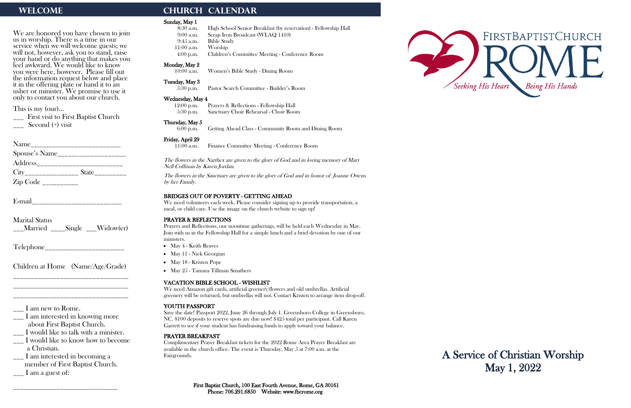We are honored you have chosen to join us in worship. There is a time in our service when we will welcome guests; we will not, however, ask you to stand, raise your hand or do anything that makes you feel awkward. We would like to know you were here, however. Please fill out the information request below and place it in the offering plate or hand it to an usher or minister. We promise to use it only to contact you about our church.

\_\_\_ First visit to First Baptist Church  $\sim$  Second  $(+)$  visit

| Spouse's Name____________________ |  |
|-----------------------------------|--|
| Address______________________     |  |
|                                   |  |
|                                   |  |

This is my (our)…

- \_\_\_ I would like to know how to become a Christian.
- \_\_\_ I am interested in becoming a member of First Baptist Church.  $\frac{1}{2}$  I am a guest of:

E-mail\_\_\_\_\_\_\_\_\_\_\_\_\_\_\_\_\_\_\_\_\_\_\_\_\_

Marital Status \_\_\_Married \_\_\_\_Single \_\_\_Widow(er)

Telephone

Children at Home (Name/Age/Grade) \_\_\_\_\_\_\_\_\_\_\_\_\_\_\_\_\_\_\_\_\_\_\_\_\_\_\_\_\_\_\_\_

\_\_\_\_\_\_\_\_\_\_\_\_\_\_\_\_\_\_\_\_\_\_\_\_\_\_\_\_\_\_\_\_ \_\_\_\_\_\_\_\_\_\_\_\_\_\_\_\_\_\_\_\_\_\_\_\_\_\_\_\_\_\_\_\_

\_\_\_ I am new to Rome.

\_\_\_ I am interested in knowing more about First Baptist Church.

\_\_\_ I would like to talk with a minister.

\_\_\_\_\_\_\_\_\_\_\_\_\_\_\_\_\_\_\_\_\_\_\_\_\_\_\_\_\_

# WELCOME **CHURCH CALENDAR**

## Sunday, May 1

First Baptist Church, 100 East Fourth Avenue, Rome, GA 30161 Phone: 706.291.6850 Website: www.fbcrome.org

| Sunday, May 1                                 |                                                                                                                                                               |  |
|-----------------------------------------------|---------------------------------------------------------------------------------------------------------------------------------------------------------------|--|
| $8:30$ a.m.                                   | High School Senior Breakfast (by reservation) - Fellowship Hall                                                                                               |  |
| $9:00$ a.m.                                   | Scrap Iron Broadcast (WLAQ 1410)                                                                                                                              |  |
| 9:45 a.m.                                     | <b>Bible Study</b>                                                                                                                                            |  |
| $11:00$ a.m.                                  | Worship                                                                                                                                                       |  |
| $4:00$ p.m.                                   | Children's Committee Meeting - Conference Room                                                                                                                |  |
| Monday, May 2                                 |                                                                                                                                                               |  |
| $10:00$ a.m.                                  | Women's Bible Study - Dining Room                                                                                                                             |  |
| Tuesday, May 3                                |                                                                                                                                                               |  |
| $5:30$ p.m.                                   | Pastor Search Committee - Builder's Room                                                                                                                      |  |
| Wednesday, May 4                              |                                                                                                                                                               |  |
| $12:00$ p.m.                                  | Prayers & Reflections - Fellowship Hall                                                                                                                       |  |
| 5:30 p.m.                                     | Sanctuary Choir Rehearsal - Choir Room                                                                                                                        |  |
| Thursday, May 5                               |                                                                                                                                                               |  |
| $6:00$ p.m.                                   | Getting Ahead Class - Community Room and Dining Room                                                                                                          |  |
| Friday, April 29                              |                                                                                                                                                               |  |
| $11:00$ a.m.                                  | Finance Committee Meeting - Conference Room                                                                                                                   |  |
|                                               |                                                                                                                                                               |  |
| Nell Coffman by Karen Jordan.                 | The flowers in the Narthex are given to the glory of God and in loving memory of Mary                                                                         |  |
| by her Family.                                | The flowers in the Sanctuary are given to the glory of God and in honor of Joanne Owens                                                                       |  |
|                                               |                                                                                                                                                               |  |
| <b>BRIDGES OUT OF POVERTY - GETTING AHEAD</b> |                                                                                                                                                               |  |
|                                               | We need volunteers each week. Please consider signing up to provide transportation, a<br>meal, or child care. Use the image on the church website to sign up! |  |
|                                               |                                                                                                                                                               |  |

### PRAYER & REFLECTIONS

Prayers and Reflections, our noontime gatherings, will be held each Wednesday in May. Join with us in the Fellowship Hall for a simple lunch and a brief devotion by one of our ministers.

- May 4 Keith Reaves
- May 11 Nick Georgian
- May 18 Kristen Pope
- May 25 Tamara Tillman Smathers

## VACATION BIBLE SCHOOL - WISHLIST

We need Amazon gift cards, artificial greenery/flowers and old umbrellas. Artificial greenery will be returned, but umbrellas will not. Contact Kristen to arrange item drop-off.

## YOUTH PASSPORT

Save the date! Passport 2022, June 26 through July 1. Greensboro College in Greensboro, NC. \$100 deposits to reserve spots are due now! \$425 total per participant. Call Karen Garrett to see if your student has fundraising funds to apply toward your balance.

### PRAYER BREAKFAST

Complimentary Prayer Breakfast tickets for the 2022 Rome Area Prayer Breakfast are available in the church office. The event is Thursday, May 5 at 7:00 a.m. at the Fairgrounds.



A Service of Christian Worship May 1, 2022